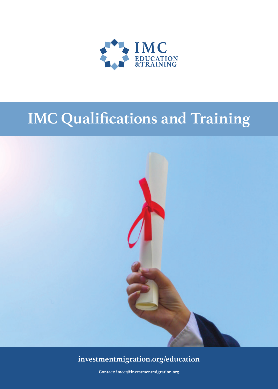

# **IMC Qualifications and Training**



### **investmentmigration.org/education**

**Contact: imcet@investmentmigration.org**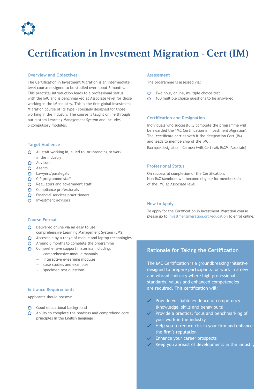

## **Certification in Investment Migration ‑ Cert (IM)**

#### **Overview and Objectives**

The Certification in Investment Migration is an intermediate level course designed to be studied over about 6 months. This practical introduction leads to a professional status with the IMC and is benchmarked at Associate level for those working in the IM industry. This is the first global Investment Migration course of its type - specially designed for those working in the industry. The course is taught online through our custom Learning Management System and includes 5 compulsory modules.

#### **Target Audience**

- All staff working in, allied to, or intending to work in the industry
- **C**> Advisors
- Agents
- **C** Lawyers/paralegals
- **CIP** programme staff
- Regulators and government staff
- **Compliance professionals**
- **S** Financial services practitioners
- **C** Investment advisors

#### **Assessment**

The programme is assessed via:

- Two hour, online, multiple choice test
- **100** multiple choice questions to be answered

#### **Certification and Designation**

Individuals who successfully complete the programme will be awarded the 'IMC Certification in Investment Migration'. The certificate carries with it the designation Cert (IM) and leads to membership of the IMC.

Example designation - Carmen Swift Cert (IM); IMCM (Associate)

#### **Professional Status**

On successful completion of the Certification, Non IMC Members will become eligible for membership of the IMC at Associate level.

#### **How to Apply**

To apply for the Certification in Investment Migration course please go to investmentmigration.org/education to enrol online.

#### **Course Format**

- **Delivered online via an easy to use,** comprehensive Learning Management System (LMS)
- Accessible by a range of mobile and laptop technologies
- Around 6 months to complete the programme
- Comprehensive support materials including:
	- comprehensive module manuals
	- interactive e-learning modules
	- case studies and examples
	- specimen test questions

#### **Entrance Requirements**

Applicants should possess:

- Good educational background
- Ability to complete the readings and comprehend core principles in the English language

#### **Rationale for Taking the Certification**

The IMC Certification is a groundbreaking initiative designed to prepare participants for work in a new and vibrant industry where high professional standards, values and enhanced competencies are required. This certification will:

- Provide verifiable evidence of competency (knowledge, skills and behaviours)
- Provide a practical focus and benchmarking of your work in the industry
- Help you to reduce risk in your firm and enhance the firm's reputation
- Enhance your career prospects
- Keep you abreast of developments in the industry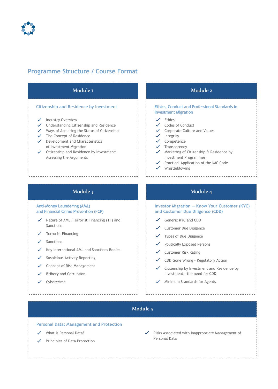

### **Programme Structure / Course Format**



#### **Module 3**

**Anti-Money Laundering (AML) and Financial Crime Prevention (FCP)**

- $\checkmark$  Nature of AML, Terrorist Financing (TF) and Sanctions
- Terrorist Financing
- $\checkmark$ Sanctions
- $\checkmark$  Key International AML and Sanctions Bodies
- Suspicious Activity Reporting  $\checkmark$
- $\checkmark$  Concept of Risk Management
- Bribery and Corruption
- $\checkmark$  Cybercrime

#### **Module 4**

#### **Investor Migration — Know Your Customer (KYC) and Customer Due Diligence (CDD)**

- Generic KYC and CDD
- Customer Due Diligence
- Types of Due Diligence  $\checkmark$
- Politically Exposed Persons
- $\checkmark$ Customer Risk Rating
- CDD Gone Wrong Regulatory Action
- $\checkmark$  Citizenship by Investment and Residence by Investment – the need for CDD
- $\checkmark$  Minimum Standards for Agents

#### **Module 5**

**Personal Data: Management and Protection**

- What is Personal Data?
- $\checkmark$  Principles of Data Protection

Risks Associated with Inappropriate Management of Personal Data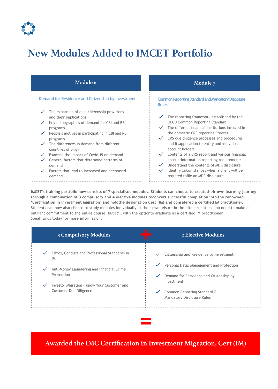

# **New Modules Added to IMCET Portfolio**



**IMCET's training portfolio now consists of 7 specialised modules. Students can choose to createtheir own learning journey through a combination of 3 compulsory and 4 elective modules toconvert successful completion into the renowned 'Certification in Investment Migration' and holdthe designation Cert (IM) and considered a certified IM practitioner.** Students can now also choose to study modules individually at their own leisure in the bite sizeoption – no need to make an outright commitment to the entire course, but still with the optionto graduate as a certified IM practitioner. Speak to us today for more information.

|                              | <b>3 Compulsory Modules</b>                                                                                                                                                                    |                                              | 2 Elective Modules                                                                                                                                                                                        |
|------------------------------|------------------------------------------------------------------------------------------------------------------------------------------------------------------------------------------------|----------------------------------------------|-----------------------------------------------------------------------------------------------------------------------------------------------------------------------------------------------------------|
| $\checkmark$<br>$\checkmark$ | Ethics, Conduct and Professional Standards in<br>IM<br>Anti-Money Laundering and Financial Crime<br>Prevention<br>Investor Migration - Know Your Customer and<br><b>Customer Due Diligence</b> | $\checkmark$<br>$\checkmark$<br>$\checkmark$ | Citizenship and Residence by Investment<br>Personal Data: Management and Protection<br>Demand for Residence and Citizenship by<br>Investment<br>Common Reporting Standard &<br>Mandatory Disclosure Rules |
|                              |                                                                                                                                                                                                |                                              |                                                                                                                                                                                                           |

**Awarded the IMC Certification in Investment Migration, Cert (IM)**